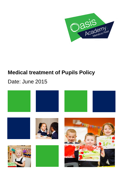

# **Medical treatment of Pupils Policy**

## Date: June 2015

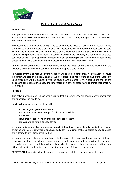

### **Medical Treatment of Pupils Policy**

#### **Introduction**

Most pupils will at some time have a medical condition that may affect their short term participation in academy activities, but some have conditions that, if not properly managed could limit their long term access to education.

The Academy is committed to giving all its students opportunities to access the curriculum. Every effort will be made to ensure that students with medical needs experience the best possible care whilst at the Academy. This policy provides a sound basis for ensuring that children with medical needs receive proper care and support at school. In addition, the Academy has adopted the guidance published by the DCSF/Department of Health entitled "Supporting Pupils with Medical Needs: a good practice guide". This publication may be accessed through www.teachernet.gov.uk.

Parents as the primary carers have responsibility for the health of the child and must inform the Academy about any medical condition, treatment or special care needed.

All medical information received by the Academy will be treated confidentially. Information to ensure the safety and care of individual students will be disclosed as appropriate to staff of the Academy. Such procedure will be discussed with the student and parents for their agreement prior to the disclosure. (Throughout this policy, the term "parents" means all those having parental responsibility for a child.)

#### **Purpose**

This policy provides a sound basis for ensuring that pupils with medical needs receive proper care and support at the Academy.

Pupils with medical requirements need to:

- Access a good general education
- Be included in as wide a range of activities as possible
- Stav safe
- Have their needs known by those responsible for them
- Be supported by multi-agency advice

It is a required element of Academy procedures that the administration of medicines both as a matter of routine and in emergency situations has clearly defined routines that are dictated by good practice and adhered to at all times by all parties.

It is important to note there is no legal duty, which requires staff to administer medication. Staff who assist with any form of medication in accordance with the procedures detailed within this guidance are explicitly reassured that they will be acting within the scope of their employment and that they will be indemnified. Indemnity requires that the procedures followed as delineated.

**EXCEPTION:** Indemnity will not be given in cases of fraud, dishonesty or criminal offences.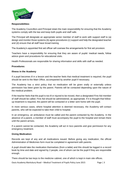

#### **Responsibilities**:

The Academy Councillors and Principal retain the main responsibility for ensuring that the Academy systems comply with the law and keep both pupils and staff safe.

The Principal will designate an appropriate senior member of staff to work with support staff to (a) design and monitor those systems (b) agree procedures (c) support and help the designated teacher and (d) ensure that all staff have broad training

The Academy's appointed first aid officer will oversee the arrangements for first aid provision.

Teachers have a responsibility for ensuring that they are aware of pupils' medical needs, follow advice given and procedures for educational visits.

Health Professionals are responsible for sharing information and skills with staff as needed.

#### **Procedures:**

#### **Illness in the Academy**

If a pupil becomes ill in a lesson and the teacher feels that medical treatment is required, the pupil should be sent to the Main Office, accompanied by another pupil if necessary.

The Academy has a strict policy that no medication will be given orally or externally unless permission has been given by the parent. Parents will be contacted depending upon the nature of the medical problem.

If the teacher feels that the pupil is too ill or injured to be moved, then a designated First Aid member of staff should be called. First Aid should be administered, as appropriate. If it is thought that followup treatment is required, the parent will be contacted or a letter sent home with the pupil.

In more serious cases, where hospital attention is deemed necessary, the Academy will contact parents, who will be expected to take their child to hospital.

In an emergency, an ambulance must be called and the parent contacted by the Academy. In the absence of a parent, a member of staff must accompany the pupil to the hospital and remain there until the parent arrives.

If a parent cannot be contacted, the Academy will act in loco parentis and give permission for any emergency treatment.

#### **Giving Medication:**

Records are kept of any and all medications issued. Before giving any medication, the official Administration of Medicines form must be completed in agreement with parents.

A pupil should take the medication themselves (from a table) and this should be logged in a record book by time and date and signed by 2 people, one of whom can be the pupil if they are responsible enough.

There should be two keys to the medicine cabinet, one of which is kept in main site offices.

Oasis Academy Marksbury Road – Medical Treatment of Pupils Policy June 2015 Page | 3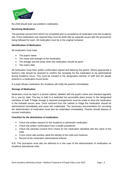

No child should ever use another's medication.

#### **Receiving Medication**

The parental consent form MUST be completed prior to acceptance of medication onto the Academy site. If two medications are required they must be dealt with as separate issues with the procedures being followed for each. All medication must be in the original container.

#### **Identification of Medication**

All medication must have:

- The pupil's name
- The name and strength of the medication
- The dosage and the times when the medication should be given
- The expiry date

All medication must have written confirmation signed and dated by the parent. Where appropriate a doctor's note should be received to confirm the necessity for the medication to be administered during Academy hours. This must be handed to the designated member of staff and the details entered in a medication record book.

If a pupil refuses medication the Academy will notify the parents immediately.

#### **Storage of Medication**

Medication must be kept in a locked cabinet, labelled with the pupil's name and checked regularly for a 'use by' date. The key is held in a restricted but accessible place known to the designated members of staff. If fridge storage is required arrangements must be made to store the medication in the lockable secure area. Once removed from the cabinet or fridge the medication should be administered immediately and never left unattended. The necessary documentation for recording the administration of medication must also be undertaken immediately. Parents should dispose of unused medication.

#### **Checklist for the distribution of medication**;

- Check the written request for the Academy to administer medication
- Check the written confirmation from a health practitioner
- Check the parental consent form Check for the medication identified with the name of the child
- Cross check with another adult the identity of the child and medicine
- Record of the medication administered entered

N.B. This procedure must also be adhered to in the case of the administration of medication on Academy educational visits.